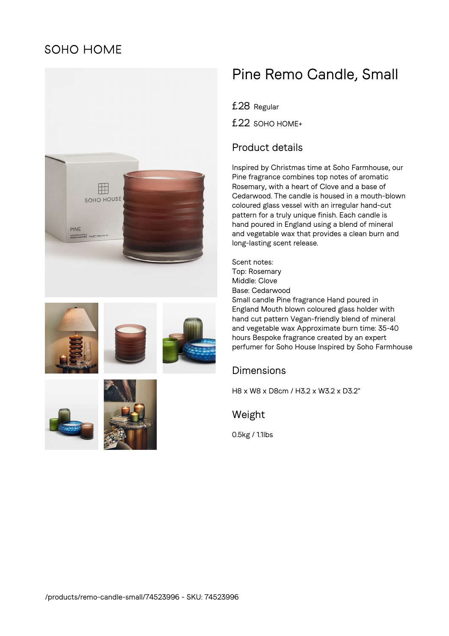## **SOHO HOME**



# Pine Remo Candle, Small

£28 Regular

£22 SOHO HOME+

### Product details

Inspired by Christmas time at Soho Farmhouse, our Pine fragrance combines top notes of aromatic Rosemary, with a heart of Clove and a base of Cedarwood. The candle is housed in a mouth-blown coloured glass vessel with an irregular hand-cut pattern for a truly unique finish. Each candle is hand poured in England using a blend of mineral and vegetable wax that provides a clean burn and long-lasting scent release.

Scent notes: Top: Rosemary Middle: Clove Base: Cedarwood Small candle Pine fragrance Hand poured in England Mouth blown coloured glass holder with hand cut pattern Vegan-friendly blend of mineral and vegetable wax Approximate burn time: 35-40 hours Bespoke fragrance created by an expert perfumer for Soho House Inspired by Soho Farmhouse

#### Dimensions

H8 x W8 x D8cm / H3.2 x W3.2 x D3.2"

Weight

0.5kg / 1.1lbs